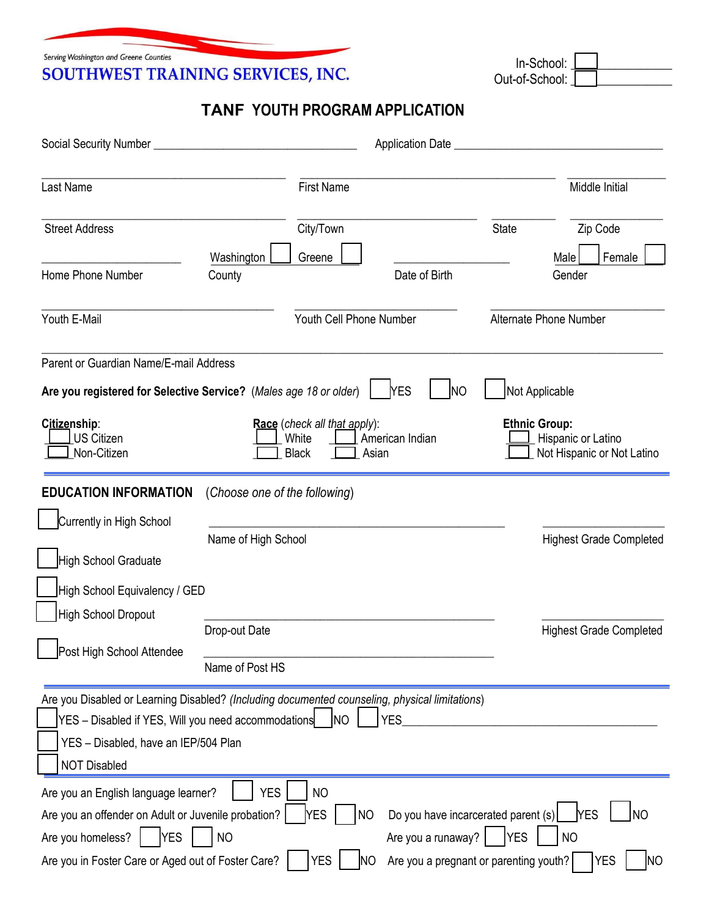Serving Washington and Greene Counties SOUTHWEST TRAINING SERVICES, INC.

 In-School: \_\_\_\_\_\_\_\_\_\_\_\_\_\_\_\_ Out-of-School:

## **TANF YOUTH PROGRAM APPLICATION**

| Last Name                                                                                                                                                                                                            | <b>First Name</b>                                                                        |                                                     |                                                                                             | Middle Initial                                                   |
|----------------------------------------------------------------------------------------------------------------------------------------------------------------------------------------------------------------------|------------------------------------------------------------------------------------------|-----------------------------------------------------|---------------------------------------------------------------------------------------------|------------------------------------------------------------------|
| <b>Street Address</b>                                                                                                                                                                                                | City/Town<br>Washington<br>Greene                                                        |                                                     | <b>State</b>                                                                                | Zip Code<br>Female<br>Male                                       |
| Home Phone Number                                                                                                                                                                                                    | County                                                                                   | Date of Birth                                       |                                                                                             | Gender                                                           |
| Youth E-Mail                                                                                                                                                                                                         |                                                                                          | Youth Cell Phone Number                             |                                                                                             | Alternate Phone Number                                           |
| Parent or Guardian Name/E-mail Address<br>Are you registered for Selective Service? (Males age 18 or older)<br>Citizenship:<br><b>US Citizen</b><br>Non-Citizen                                                      | Race (check all that apply):<br>White<br><b>Black</b>                                    | <b>NES</b><br><b>NO</b><br>American Indian<br>Asian | Not Applicable<br><b>Ethnic Group:</b>                                                      | Hispanic or Latino<br>Not Hispanic or Not Latino                 |
| <b>EDUCATION INFORMATION</b><br>Currently in High School<br>High School Graduate<br>High School Equivalency / GED<br><b>High School Dropout</b><br>Post High School Attendee                                         | (Choose one of the following)<br>Name of High School<br>Drop-out Date<br>Name of Post HS |                                                     |                                                                                             | <b>Highest Grade Completed</b><br><b>Highest Grade Completed</b> |
| Are you Disabled or Learning Disabled? (Including documented counseling, physical limitations)<br>YES - Disabled if YES, Will you need accommodations<br>YES - Disabled, have an IEP/504 Plan<br><b>NOT Disabled</b> | <b>INO</b>                                                                               | <b>YES</b>                                          |                                                                                             |                                                                  |
| Are you an English language learner?<br>Are you an offender on Adult or Juvenile probation?  <br>Are you homeless?<br><b>YES</b><br>Are you in Foster Care or Aged out of Foster Care?                               | <b>YES</b><br><b>NO</b><br>YES<br>N <sub>O</sub><br><b>YES</b>                           | NO<br>Are you a runaway?<br>ΙNΟ                     | Do you have incarcerated parent (s)<br><b>YES</b><br>Are you a pregnant or parenting youth? | <b>NO</b><br><b>YES</b><br><b>NO</b><br><b>YES</b><br>ΙNΟ        |